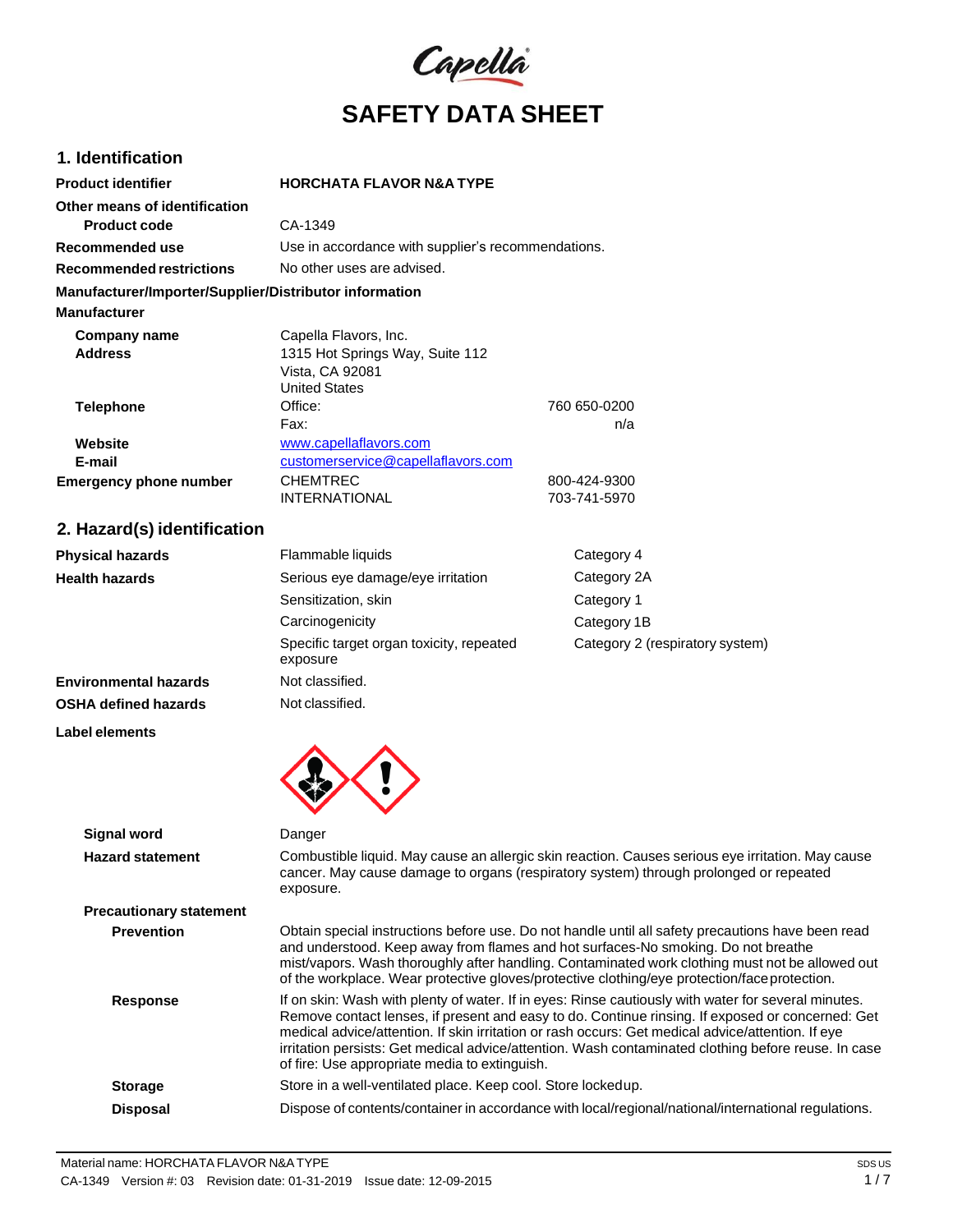

# **1. Identification**

| <b>Product identifier</b>                              | <b>HORCHATA FLAVOR N&amp;A TYPE</b>                                        |                     |  |
|--------------------------------------------------------|----------------------------------------------------------------------------|---------------------|--|
| Other means of identification                          |                                                                            |                     |  |
| <b>Product code</b>                                    | CA-1349                                                                    |                     |  |
| Recommended use                                        | Use in accordance with supplier's recommendations.                         |                     |  |
| <b>Recommended restrictions</b>                        | No other uses are advised.                                                 |                     |  |
| Manufacturer/Importer/Supplier/Distributor information |                                                                            |                     |  |
| <b>Manufacturer</b>                                    |                                                                            |                     |  |
| Company name                                           | Capella Flavors, Inc.                                                      |                     |  |
| <b>Address</b>                                         | 1315 Hot Springs Way, Suite 112<br>Vista, CA 92081<br><b>United States</b> |                     |  |
| <b>Telephone</b>                                       | Office:<br>Fax:                                                            | 760 650-0200<br>n/a |  |
| Website                                                | www.capellaflavors.com                                                     |                     |  |
| E-mail                                                 | customerservice@capellaflavors.com                                         |                     |  |
| <b>Emergency phone number</b>                          | CHEMTREC                                                                   | 800-424-9300        |  |
|                                                        | <b>INTERNATIONAL</b>                                                       | 703-741-5970        |  |

# **2. Hazard(s) identification**

| <b>Physical hazards</b>      | Flammable liquids                                    | Category 4                      |
|------------------------------|------------------------------------------------------|---------------------------------|
| <b>Health hazards</b>        | Serious eye damage/eye irritation                    | Category 2A                     |
|                              | Sensitization, skin                                  | Category 1                      |
|                              | Carcinogenicity                                      | Category 1B                     |
|                              | Specific target organ toxicity, repeated<br>exposure | Category 2 (respiratory system) |
| <b>Environmental hazards</b> | Not classified.                                      |                                 |
| <b>OSHA defined hazards</b>  | Not classified.                                      |                                 |

**Label elements**

| <b>Signal word</b>             | Danger                                                                                                                                                                                                                                                                                                                                                                                                                                                               |
|--------------------------------|----------------------------------------------------------------------------------------------------------------------------------------------------------------------------------------------------------------------------------------------------------------------------------------------------------------------------------------------------------------------------------------------------------------------------------------------------------------------|
| <b>Hazard statement</b>        | Combustible liquid. May cause an allergic skin reaction. Causes serious eye irritation. May cause<br>cancer. May cause damage to organs (respiratory system) through prolonged or repeated<br>exposure.                                                                                                                                                                                                                                                              |
| <b>Precautionary statement</b> |                                                                                                                                                                                                                                                                                                                                                                                                                                                                      |
| <b>Prevention</b>              | Obtain special instructions before use. Do not handle until all safety precautions have been read<br>and understood. Keep away from flames and hot surfaces-No smoking. Do not breathe<br>mist/vapors. Wash thoroughly after handling. Contaminated work clothing must not be allowed out<br>of the workplace. Wear protective gloves/protective clothing/eye protection/faceprotection.                                                                             |
| Response                       | If on skin: Wash with plenty of water. If in eyes: Rinse cautiously with water for several minutes.<br>Remove contact lenses, if present and easy to do. Continue rinsing. If exposed or concerned: Get<br>medical advice/attention. If skin irritation or rash occurs: Get medical advice/attention. If eye<br>irritation persists: Get medical advice/attention. Wash contaminated clothing before reuse. In case<br>of fire: Use appropriate media to extinguish. |
| <b>Storage</b>                 | Store in a well-ventilated place. Keep cool. Store lockedup.                                                                                                                                                                                                                                                                                                                                                                                                         |
| <b>Disposal</b>                | Dispose of contents/container in accordance with local/regional/national/international regulations.                                                                                                                                                                                                                                                                                                                                                                  |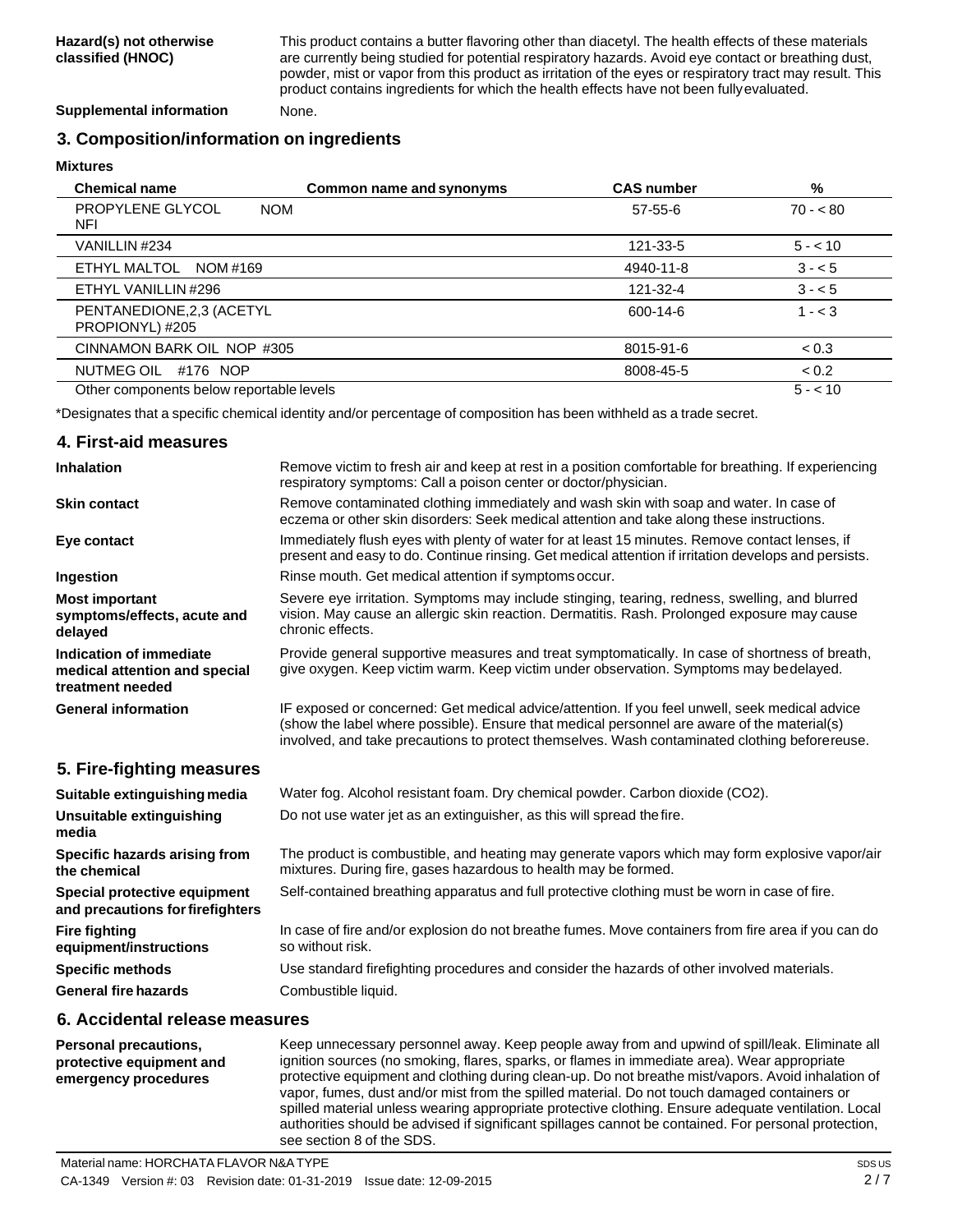This product contains a butter flavoring other than diacetyl. The health effects of these materials are currently being studied for potential respiratory hazards. Avoid eye contact or breathing dust, powder, mist or vapor from this product as irritation of the eyes or respiratory tract may result. This product contains ingredients for which the health effects have not been fullyevaluated.

**Supplemental information** None.

## **3. Composition/information on ingredients**

**Mixtures**

| <b>Chemical name</b>                         | Common name and synonyms | <b>CAS number</b> | %         |
|----------------------------------------------|--------------------------|-------------------|-----------|
| PROPYLENE GLYCOL<br><b>NOM</b><br>NFI        |                          | $57 - 55 - 6$     | $70 - 80$ |
| VANILLIN #234                                |                          | 121-33-5          | $5 - 10$  |
| ETHYL MALTOL<br>NOM #169                     |                          | 4940-11-8         | $3 - 5$   |
| ETHYL VANILLIN #296                          |                          | 121-32-4          | $3 - 5$   |
| PENTANEDIONE, 2,3 (ACETYL<br>PROPIONYL) #205 |                          | 600-14-6          | $1 - 3$   |
| CINNAMON BARK OIL NOP #305                   |                          | 8015-91-6         | < 0.3     |
| NUTMEG OIL #176 NOP                          |                          | 8008-45-5         | < 0.2     |
| Other components below reportable levels     |                          |                   | $5 - 10$  |

\*Designates that a specific chemical identity and/or percentage of composition has been withheld as a trade secret.

#### **4. First-aid measures Inhalation Skin contact Eye contact Ingestion Most important symptoms/effects, acute and delayed Indication of immediate medical attention and special treatment needed General information 5. Fire-fighting measures Suitable extinguishing media Unsuitable extinguishing media Specific hazards arising from the chemical Special protective equipment and precautions forfirefighters Fire fighting equipment/instructions Specific methods General fire hazards** Remove victim to fresh air and keep at rest in a position comfortable for breathing. If experiencing respiratory symptoms: Call a poison center or doctor/physician. Remove contaminated clothing immediately and wash skin with soap and water. In case of eczema or other skin disorders: Seek medical attention and take along these instructions. Immediately flush eyes with plenty of water for at least 15 minutes. Remove contact lenses, if present and easy to do. Continue rinsing. Get medical attention if irritation develops and persists. Rinse mouth. Get medical attention if symptomsoccur. Severe eye irritation. Symptoms may include stinging, tearing, redness, swelling, and blurred vision. May cause an allergic skin reaction. Dermatitis. Rash. Prolonged exposure may cause chronic effects. Provide general supportive measures and treat symptomatically. In case of shortness of breath, give oxygen. Keep victim warm. Keep victim under observation. Symptoms may bedelayed. IF exposed or concerned: Get medical advice/attention. If you feel unwell, seek medical advice (show the label where possible). Ensure that medical personnel are aware of the material(s) involved, and take precautions to protect themselves. Wash contaminated clothing beforereuse. Water fog. Alcohol resistant foam. Dry chemical powder. Carbon dioxide (CO2). Do not use water jet as an extinguisher, as this will spread thefire. The product is combustible, and heating may generate vapors which may form explosive vapor/air mixtures. During fire, gases hazardous to health may be formed. Self-contained breathing apparatus and full protective clothing must be worn in case of fire. In case of fire and/or explosion do not breathe fumes. Move containers from fire area if you can do so without risk. Use standard firefighting procedures and consider the hazards of other involved materials. Combustible liquid.

## **6. Accidental release measures**

**Personal precautions, protective equipment and emergency procedures** Keep unnecessary personnel away. Keep people away from and upwind of spill/leak. Eliminate all ignition sources (no smoking, flares, sparks, or flames in immediate area). Wear appropriate protective equipment and clothing during clean-up. Do not breathe mist/vapors. Avoid inhalation of vapor, fumes, dust and/or mist from the spilled material. Do not touch damaged containers or spilled material unless wearing appropriate protective clothing. Ensure adequate ventilation. Local authorities should be advised if significant spillages cannot be contained. For personal protection, see section 8 of the SDS.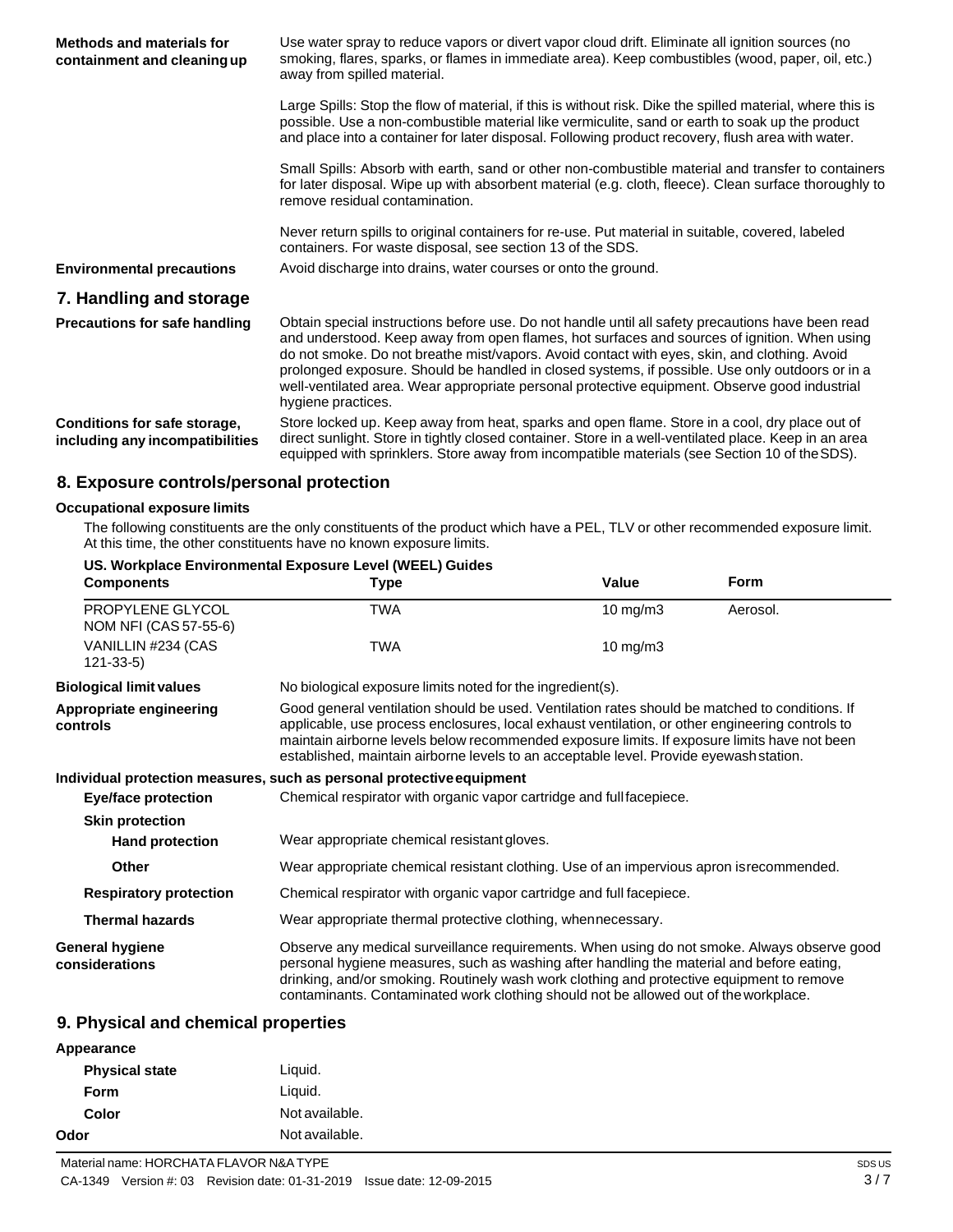| <b>Methods and materials for</b><br>containment and cleaning up | Use water spray to reduce vapors or divert vapor cloud drift. Eliminate all ignition sources (no<br>smoking, flares, sparks, or flames in immediate area). Keep combustibles (wood, paper, oil, etc.)<br>away from spilled material.                                                                                                                                                                                                                                                                                        |
|-----------------------------------------------------------------|-----------------------------------------------------------------------------------------------------------------------------------------------------------------------------------------------------------------------------------------------------------------------------------------------------------------------------------------------------------------------------------------------------------------------------------------------------------------------------------------------------------------------------|
|                                                                 | Large Spills: Stop the flow of material, if this is without risk. Dike the spilled material, where this is<br>possible. Use a non-combustible material like vermiculite, sand or earth to soak up the product<br>and place into a container for later disposal. Following product recovery, flush area with water.                                                                                                                                                                                                          |
|                                                                 | Small Spills: Absorb with earth, sand or other non-combustible material and transfer to containers<br>for later disposal. Wipe up with absorbent material (e.g. cloth, fleece). Clean surface thoroughly to<br>remove residual contamination.                                                                                                                                                                                                                                                                               |
|                                                                 | Never return spills to original containers for re-use. Put material in suitable, covered, labeled<br>containers. For waste disposal, see section 13 of the SDS.                                                                                                                                                                                                                                                                                                                                                             |
| <b>Environmental precautions</b>                                | Avoid discharge into drains, water courses or onto the ground.                                                                                                                                                                                                                                                                                                                                                                                                                                                              |
| 7. Handling and storage                                         |                                                                                                                                                                                                                                                                                                                                                                                                                                                                                                                             |
| <b>Precautions for safe handling</b>                            | Obtain special instructions before use. Do not handle until all safety precautions have been read<br>and understood. Keep away from open flames, hot surfaces and sources of ignition. When using<br>do not smoke. Do not breathe mist/vapors. Avoid contact with eyes, skin, and clothing. Avoid<br>prolonged exposure. Should be handled in closed systems, if possible. Use only outdoors or in a<br>well-ventilated area. Wear appropriate personal protective equipment. Observe good industrial<br>hygiene practices. |
| Conditions for safe storage,<br>including any incompatibilities | Store locked up. Keep away from heat, sparks and open flame. Store in a cool, dry place out of<br>direct sunlight. Store in tightly closed container. Store in a well-ventilated place. Keep in an area<br>equipped with sprinklers. Store away from incompatible materials (see Section 10 of the SDS).                                                                                                                                                                                                                    |

# **8. Exposure controls/personal protection**

#### **Occupational exposure limits**

The following constituents are the only constituents of the product which have a PEL, TLV or other recommended exposure limit. At this time, the other constituents have no known exposure limits.

| US. Workplace Environmental Exposure Level (WEEL) Guides |                                                                                                                                                                                                                                                                                                                                                                                             |                     |             |  |
|----------------------------------------------------------|---------------------------------------------------------------------------------------------------------------------------------------------------------------------------------------------------------------------------------------------------------------------------------------------------------------------------------------------------------------------------------------------|---------------------|-------------|--|
| <b>Components</b>                                        | <b>Type</b>                                                                                                                                                                                                                                                                                                                                                                                 | Value               | <b>Form</b> |  |
| PROPYLENE GLYCOL<br>NOM NFI (CAS 57-55-6)                | TWA                                                                                                                                                                                                                                                                                                                                                                                         | $10$ mg/m $3$       | Aerosol.    |  |
| VANILLIN #234 (CAS<br>$121 - 33 - 5$                     | <b>TWA</b>                                                                                                                                                                                                                                                                                                                                                                                  | $10 \text{ mg/m}$ 3 |             |  |
| <b>Biological limit values</b>                           | No biological exposure limits noted for the ingredient(s).                                                                                                                                                                                                                                                                                                                                  |                     |             |  |
| Appropriate engineering<br>controls                      | Good general ventilation should be used. Ventilation rates should be matched to conditions. If<br>applicable, use process enclosures, local exhaust ventilation, or other engineering controls to<br>maintain airborne levels below recommended exposure limits. If exposure limits have not been<br>established, maintain airborne levels to an acceptable level. Provide eyewash station. |                     |             |  |
|                                                          | Individual protection measures, such as personal protective equipment                                                                                                                                                                                                                                                                                                                       |                     |             |  |
| <b>Eye/face protection</b>                               | Chemical respirator with organic vapor cartridge and full facepiece.                                                                                                                                                                                                                                                                                                                        |                     |             |  |
| <b>Skin protection</b>                                   |                                                                                                                                                                                                                                                                                                                                                                                             |                     |             |  |
| <b>Hand protection</b>                                   | Wear appropriate chemical resistant gloves.                                                                                                                                                                                                                                                                                                                                                 |                     |             |  |
| Other                                                    | Wear appropriate chemical resistant clothing. Use of an impervious apron is recommended.                                                                                                                                                                                                                                                                                                    |                     |             |  |
| <b>Respiratory protection</b>                            | Chemical respirator with organic vapor cartridge and full facepiece.                                                                                                                                                                                                                                                                                                                        |                     |             |  |
| <b>Thermal hazards</b>                                   | Wear appropriate thermal protective clothing, whennecessary.                                                                                                                                                                                                                                                                                                                                |                     |             |  |
| <b>General hygiene</b><br>considerations                 | Observe any medical surveillance requirements. When using do not smoke. Always observe good<br>personal hygiene measures, such as washing after handling the material and before eating,<br>drinking, and/or smoking. Routinely wash work clothing and protective equipment to remove<br>contaminants. Contaminated work clothing should not be allowed out of the workplace.               |                     |             |  |

## **9. Physical and chemical properties**

| Appearance            |                |
|-----------------------|----------------|
| <b>Physical state</b> | Liquid.        |
| Form                  | Liquid.        |
| Color                 | Not available. |
| Odor                  | Not available. |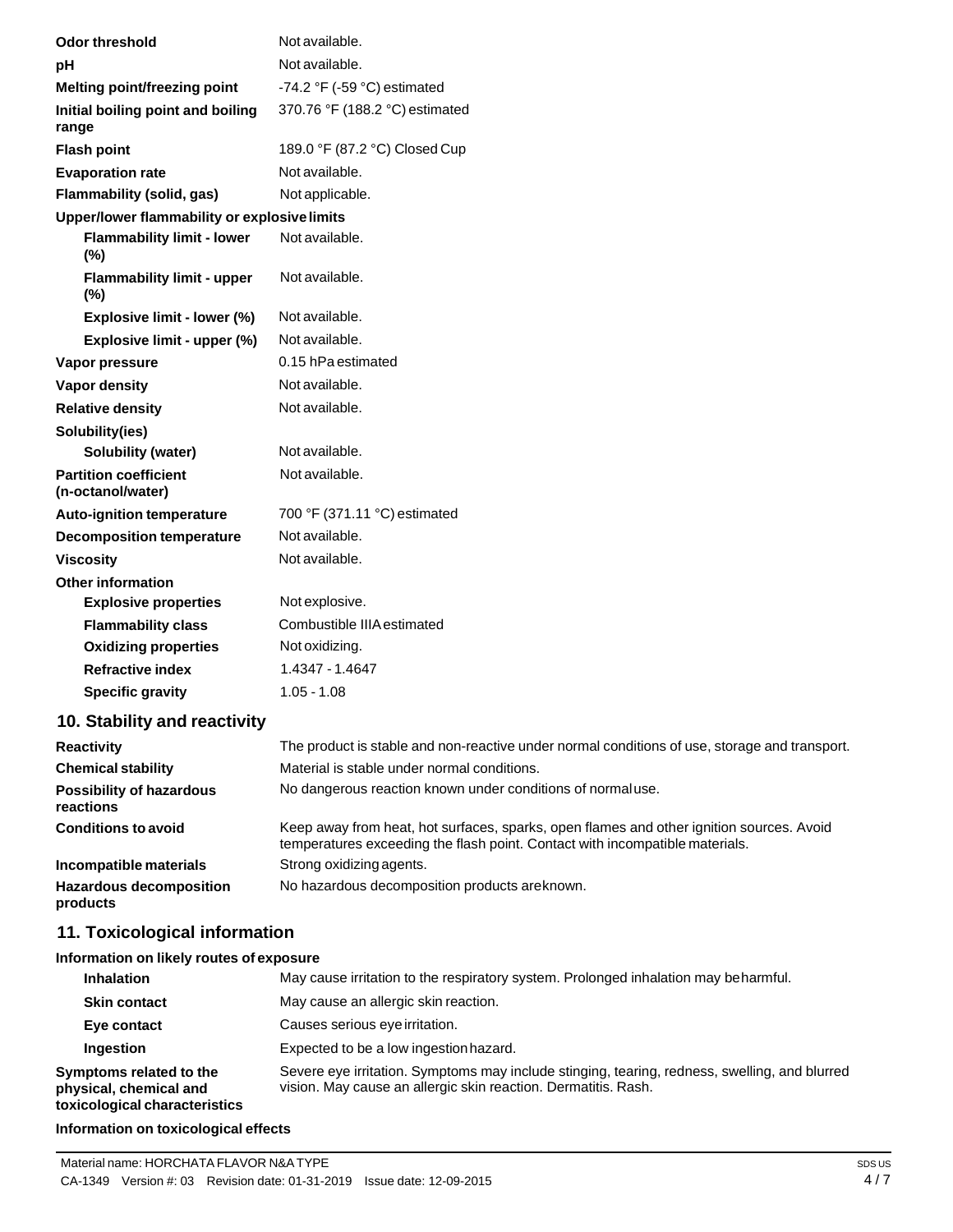| <b>Odor threshold</b>                             | Not available.                                                                                                                                                           |
|---------------------------------------------------|--------------------------------------------------------------------------------------------------------------------------------------------------------------------------|
| рH                                                | Not available.                                                                                                                                                           |
| Melting point/freezing point                      | -74.2 $\degree$ F (-59 $\degree$ C) estimated                                                                                                                            |
| Initial boiling point and boiling<br>range        | 370.76 °F (188.2 °C) estimated                                                                                                                                           |
| <b>Flash point</b>                                | 189.0 °F (87.2 °C) Closed Cup                                                                                                                                            |
| <b>Evaporation rate</b>                           | Not available.                                                                                                                                                           |
| Flammability (solid, gas)                         | Not applicable.                                                                                                                                                          |
| Upper/lower flammability or explosive limits      |                                                                                                                                                                          |
| <b>Flammability limit - lower</b><br>(%)          | Not available.                                                                                                                                                           |
| <b>Flammability limit - upper</b><br>(%)          | Not available.                                                                                                                                                           |
| Explosive limit - lower (%)                       | Not available.                                                                                                                                                           |
| Explosive limit - upper (%)                       | Not available.                                                                                                                                                           |
| Vapor pressure                                    | 0.15 hPa estimated                                                                                                                                                       |
| <b>Vapor density</b>                              | Not available.                                                                                                                                                           |
| <b>Relative density</b>                           | Not available.                                                                                                                                                           |
| Solubility(ies)                                   |                                                                                                                                                                          |
| <b>Solubility (water)</b>                         | Not available.                                                                                                                                                           |
| <b>Partition coefficient</b><br>(n-octanol/water) | Not available.                                                                                                                                                           |
| <b>Auto-ignition temperature</b>                  | 700 °F (371.11 °C) estimated                                                                                                                                             |
| <b>Decomposition temperature</b>                  | Not available.                                                                                                                                                           |
| <b>Viscosity</b>                                  | Not available.                                                                                                                                                           |
| <b>Other information</b>                          |                                                                                                                                                                          |
| <b>Explosive properties</b>                       | Not explosive.                                                                                                                                                           |
| <b>Flammability class</b>                         | Combustible IIIA estimated                                                                                                                                               |
| <b>Oxidizing properties</b>                       | Not oxidizing.                                                                                                                                                           |
| <b>Refractive index</b>                           | 1.4347 - 1.4647                                                                                                                                                          |
| <b>Specific gravity</b>                           | $1.05 - 1.08$                                                                                                                                                            |
| 10. Stability and reactivity                      |                                                                                                                                                                          |
| <b>Reactivity</b>                                 | The product is stable and non-reactive under normal conditions of use, storage and transport.                                                                            |
| <b>Chemical stability</b>                         | Material is stable under normal conditions.                                                                                                                              |
| <b>Possibility of hazardous</b><br>reactions      | No dangerous reaction known under conditions of normaluse.                                                                                                               |
| <b>Conditions to avoid</b>                        | Keep away from heat, hot surfaces, sparks, open flames and other ignition sources. Avoid<br>temperatures exceeding the flash point. Contact with incompatible materials. |
| Incompatible materials                            | Strong oxidizing agents.                                                                                                                                                 |
| <b>Hazardous decomposition</b><br>products        | No hazardous decomposition products areknown.                                                                                                                            |
| 11. Toxicological information                     |                                                                                                                                                                          |
| Information on likely routes of exposure          |                                                                                                                                                                          |
| <b>Inhalation</b>                                 | May cause irritation to the respiratory system. Prolonged inhalation may beharmful.                                                                                      |
| <b>Skin contact</b>                               | May cause an allergic skin reaction.                                                                                                                                     |
| Eye contact                                       | Causes serious eye irritation.                                                                                                                                           |
| Ingestion                                         | Expected to be a low ingestion hazard.                                                                                                                                   |
| Symptoms related to the<br>physical, chemical and | Severe eye irritation. Symptoms may include stinging, tearing, redness, swelling, and blurred<br>vision. May cause an allergic skin reaction. Dermatitis. Rash.          |

**toxicological characteristics**

## **Information on toxicological effects**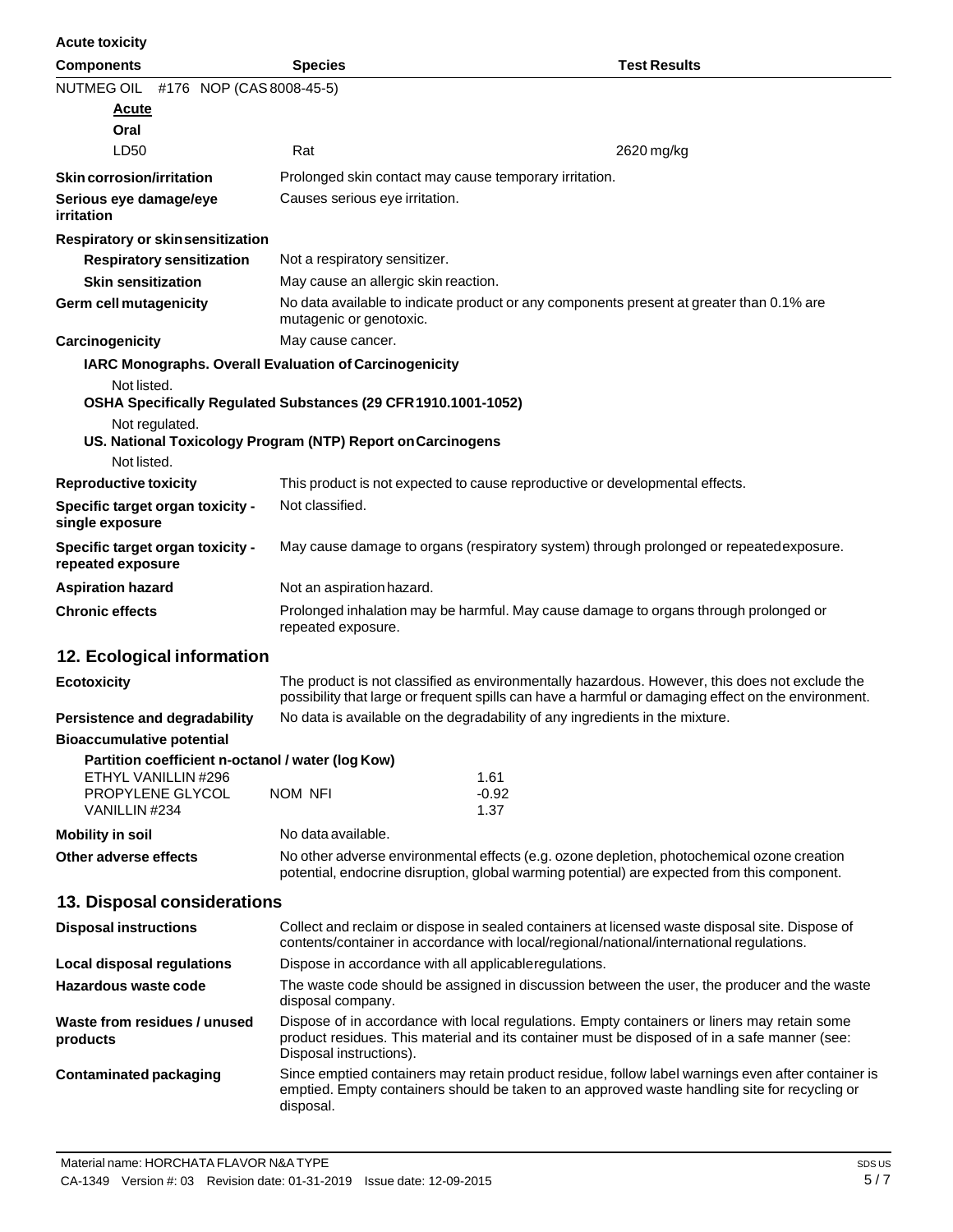| <b>Acute toxicity</b>                                                         |                                                                                                                                                                                                                        |                                                                                                                                                                                                       |
|-------------------------------------------------------------------------------|------------------------------------------------------------------------------------------------------------------------------------------------------------------------------------------------------------------------|-------------------------------------------------------------------------------------------------------------------------------------------------------------------------------------------------------|
| <b>Components</b>                                                             | <b>Species</b>                                                                                                                                                                                                         | <b>Test Results</b>                                                                                                                                                                                   |
| NUTMEG OIL #176 NOP (CAS 8008-45-5)                                           |                                                                                                                                                                                                                        |                                                                                                                                                                                                       |
| <b>Acute</b>                                                                  |                                                                                                                                                                                                                        |                                                                                                                                                                                                       |
| Oral                                                                          |                                                                                                                                                                                                                        |                                                                                                                                                                                                       |
| LD50                                                                          | Rat                                                                                                                                                                                                                    | 2620 mg/kg                                                                                                                                                                                            |
| <b>Skin corrosion/irritation</b>                                              |                                                                                                                                                                                                                        | Prolonged skin contact may cause temporary irritation.                                                                                                                                                |
| Serious eye damage/eye<br>irritation                                          | Causes serious eye irritation.                                                                                                                                                                                         |                                                                                                                                                                                                       |
| Respiratory or skinsensitization                                              |                                                                                                                                                                                                                        |                                                                                                                                                                                                       |
| <b>Respiratory sensitization</b>                                              | Not a respiratory sensitizer.                                                                                                                                                                                          |                                                                                                                                                                                                       |
| <b>Skin sensitization</b>                                                     | May cause an allergic skin reaction.                                                                                                                                                                                   |                                                                                                                                                                                                       |
| <b>Germ cell mutagenicity</b>                                                 | mutagenic or genotoxic.                                                                                                                                                                                                | No data available to indicate product or any components present at greater than 0.1% are                                                                                                              |
| Carcinogenicity                                                               | May cause cancer.                                                                                                                                                                                                      |                                                                                                                                                                                                       |
| IARC Monographs. Overall Evaluation of Carcinogenicity                        |                                                                                                                                                                                                                        |                                                                                                                                                                                                       |
| Not listed.<br>OSHA Specifically Regulated Substances (29 CFR 1910.1001-1052) |                                                                                                                                                                                                                        |                                                                                                                                                                                                       |
| Not regulated.<br>US. National Toxicology Program (NTP) Report on Carcinogens |                                                                                                                                                                                                                        |                                                                                                                                                                                                       |
| Not listed.                                                                   |                                                                                                                                                                                                                        |                                                                                                                                                                                                       |
| <b>Reproductive toxicity</b>                                                  |                                                                                                                                                                                                                        | This product is not expected to cause reproductive or developmental effects.                                                                                                                          |
| Specific target organ toxicity -<br>single exposure                           | Not classified.                                                                                                                                                                                                        |                                                                                                                                                                                                       |
| Specific target organ toxicity -<br>repeated exposure                         |                                                                                                                                                                                                                        | May cause damage to organs (respiratory system) through prolonged or repeatedexposure.                                                                                                                |
| <b>Aspiration hazard</b>                                                      | Not an aspiration hazard.                                                                                                                                                                                              |                                                                                                                                                                                                       |
| <b>Chronic effects</b>                                                        | Prolonged inhalation may be harmful. May cause damage to organs through prolonged or<br>repeated exposure.                                                                                                             |                                                                                                                                                                                                       |
| 12. Ecological information                                                    |                                                                                                                                                                                                                        |                                                                                                                                                                                                       |
| <b>Ecotoxicity</b>                                                            |                                                                                                                                                                                                                        | The product is not classified as environmentally hazardous. However, this does not exclude the<br>possibility that large or frequent spills can have a harmful or damaging effect on the environment. |
| Persistence and degradability                                                 | No data is available on the degradability of any ingredients in the mixture.                                                                                                                                           |                                                                                                                                                                                                       |
| <b>Bioaccumulative potential</b>                                              |                                                                                                                                                                                                                        |                                                                                                                                                                                                       |
| Partition coefficient n-octanol / water (log Kow)                             |                                                                                                                                                                                                                        |                                                                                                                                                                                                       |
| ETHYL VANILLIN #296                                                           |                                                                                                                                                                                                                        | 1.61                                                                                                                                                                                                  |
| PROPYLENE GLYCOL<br>VANILLIN #234                                             | <b>NOM NFI</b>                                                                                                                                                                                                         | $-0.92$<br>1.37                                                                                                                                                                                       |
| <b>Mobility in soil</b>                                                       | No data available.                                                                                                                                                                                                     |                                                                                                                                                                                                       |
| <b>Other adverse effects</b>                                                  |                                                                                                                                                                                                                        | No other adverse environmental effects (e.g. ozone depletion, photochemical ozone creation                                                                                                            |
|                                                                               |                                                                                                                                                                                                                        | potential, endocrine disruption, global warming potential) are expected from this component.                                                                                                          |
| 13. Disposal considerations                                                   |                                                                                                                                                                                                                        |                                                                                                                                                                                                       |
| <b>Disposal instructions</b>                                                  |                                                                                                                                                                                                                        | Collect and reclaim or dispose in sealed containers at licensed waste disposal site. Dispose of<br>contents/container in accordance with local/regional/national/international regulations.           |
| <b>Local disposal regulations</b>                                             |                                                                                                                                                                                                                        | Dispose in accordance with all applicableregulations.                                                                                                                                                 |
| Hazardous waste code                                                          | disposal company.                                                                                                                                                                                                      | The waste code should be assigned in discussion between the user, the producer and the waste                                                                                                          |
| Waste from residues / unused<br>products                                      | Dispose of in accordance with local regulations. Empty containers or liners may retain some<br>product residues. This material and its container must be disposed of in a safe manner (see:<br>Disposal instructions). |                                                                                                                                                                                                       |
|                                                                               |                                                                                                                                                                                                                        |                                                                                                                                                                                                       |

**Contaminated packaging** Since emptied containers may retain product residue, follow label warnings even after container is emptied. Empty containers should be taken to an approved waste handling site for recycling or disposal.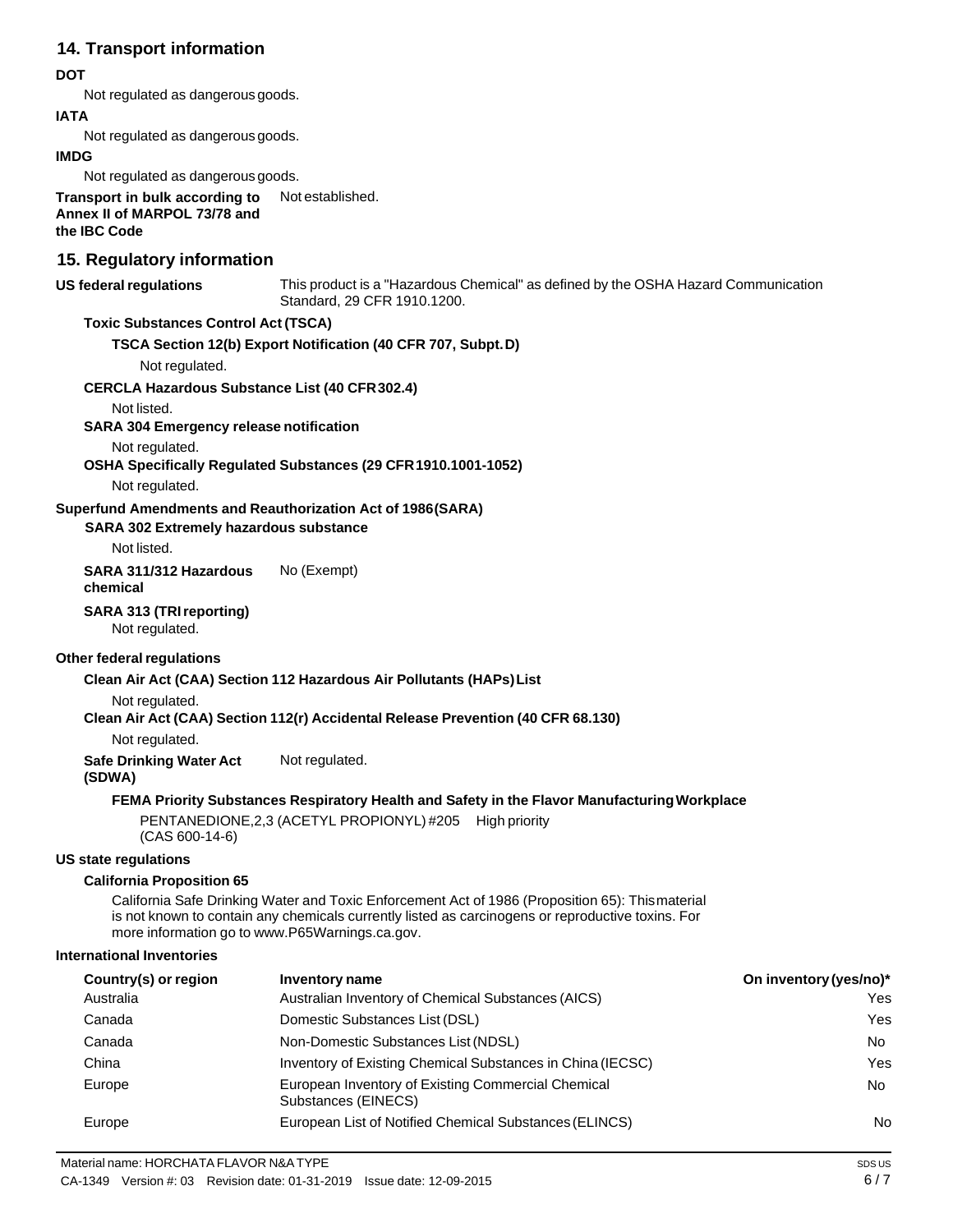## **14. Transport information**

## **DOT**

Not regulated as dangerous goods.

## **IATA**

Not regulated as dangerous goods.

## **IMDG**

Not regulated as dangerous goods.

**Transport in bulk according to Annex II of MARPOL 73/78 and the IBC Code** Not established.

## **15. Regulatory information**

#### **US** federal regulations

This product is a "Hazardous Chemical" as defined by the OSHA Hazard Communication Standard, 29 CFR 1910.1200.

## **Toxic Substances Control Act (TSCA)**

**TSCA Section 12(b) Export Notification (40 CFR 707, Subpt.D)**

Not regulated.

## **CERCLA Hazardous Substance List (40 CFR302.4)**

Not listed.

**SARA 304 Emergency release notification**

Not regulated.

**OSHA Specifically Regulated Substances (29 CFR1910.1001-1052)**

Not regulated.

## **Superfund Amendments and Reauthorization Act of 1986(SARA)**

**SARA 302 Extremely hazardous substance**

Not listed.

**SARA 311/312 Hazardous chemical** No (Exempt)

## **SARA 313 (TRIreporting)**

Not regulated.

## **Other federal regulations**

**Clean Air Act (CAA) Section 112 Hazardous Air Pollutants (HAPs)List**

Not regulated.

**Clean Air Act (CAA) Section 112(r) Accidental Release Prevention (40 CFR 68.130)**

Not regulated.

**Safe Drinking Water Act** Not regulated.

**(SDWA)**

## **FEMA Priority Substances Respiratory Health and Safety in the Flavor ManufacturingWorkplace**

PENTANEDIONE,2,3 (ACETYL PROPIONYL) #205 High priority (CAS 600-14-6)

## **US state regulations**

## **California Proposition 65**

California Safe Drinking Water and Toxic Enforcement Act of 1986 (Proposition 65): Thismaterial is not known to contain any chemicals currently listed as carcinogens or reproductive toxins. For more information go to [www.P65Warnings.ca.gov.](http://www.p65warnings.ca.gov/)

#### **International Inventories**

| Country(s) or region | Inventory name                                                            | On inventory (yes/no)* |
|----------------------|---------------------------------------------------------------------------|------------------------|
| Australia            | Australian Inventory of Chemical Substances (AICS)                        | Yes                    |
| Canada               | Domestic Substances List (DSL)                                            | Yes                    |
| Canada               | Non-Domestic Substances List (NDSL)                                       | No.                    |
| China                | Inventory of Existing Chemical Substances in China (IECSC)                | Yes                    |
| Europe               | European Inventory of Existing Commercial Chemical<br>Substances (EINECS) | No.                    |
| Europe               | European List of Notified Chemical Substances (ELINCS)                    | No                     |